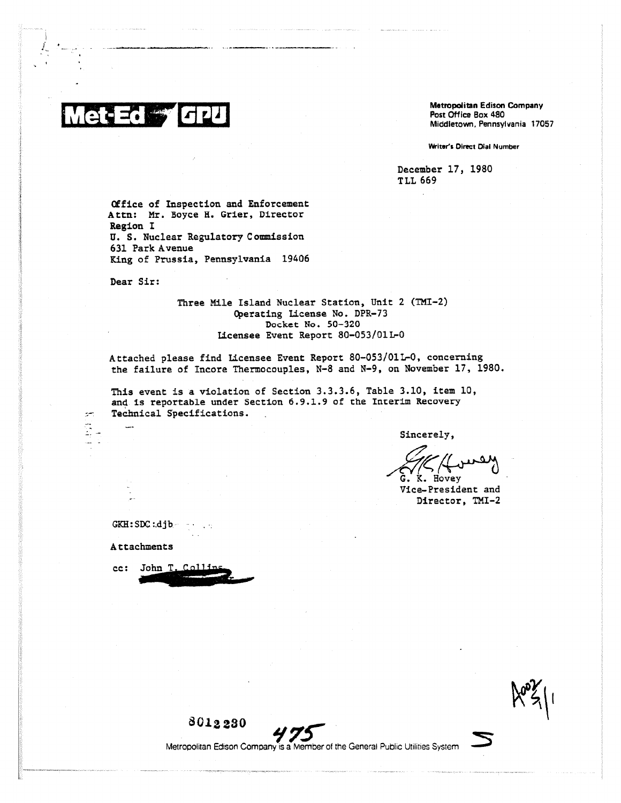**Metropolitan Edison Company Post Office Box 480 Middletown, Pennsylvania 17057**

**Writer's Direct Dial Number**

**December 17, 1980 TLL 669**

**Office of Inspection and Enforcement Attn: Mr. Boyce H. Grier, Director Region I U. S. Nuclear Regulatory Commission 631 Park Avenue King of Prussia, Pennsylvania 19406**

**Dear Sir:**

**Three Mile Island Nuclear Station, Unit 2 (TMI-2) Operating License No. DPR-73 Docket No. 50- 320 Licensee Event Report 80-053/01L-0** 

**Attached please find Licensee Event Report 80-053/01L-0, concerning the failure of Incore Thermocouples, N-8 and N-9, on November 17, 1980.**

**This event is a violation of Section 3.3.3.6, Table 3.10, item 10, and is reportable under Section 6.9.1.9 of the Interim Recovery Technical Specifications.**

**Sincerely,**

 $G. K. Hovey$ 

**Vice-President and Director, TMI-2**

**GKH:SDC:Ajb**

**Attachments**

**cc: John T**

بعير ă.



**801 223 0**

Metropolitan Edison Company is a Member of the General Public Utilities System *75*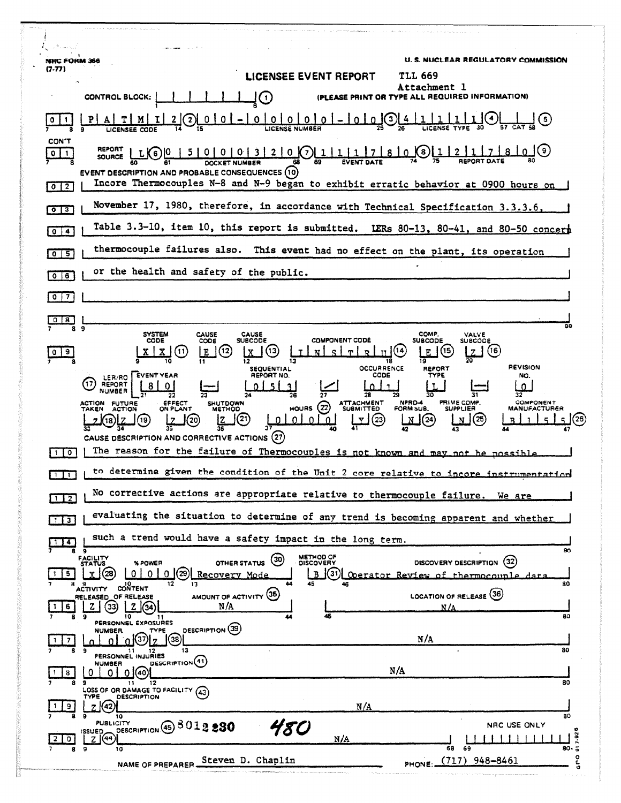| NRC FORM 366                          | <b>U.S. NUCLEAR REGULATORY COMMISSION</b>                                                                                                                                                                                                                                                                                                                     |
|---------------------------------------|---------------------------------------------------------------------------------------------------------------------------------------------------------------------------------------------------------------------------------------------------------------------------------------------------------------------------------------------------------------|
| 7-77)                                 | LICENSEE EVENT REPORT<br><b>TLL 669</b>                                                                                                                                                                                                                                                                                                                       |
|                                       | Attachment l<br>NT OR TYPE ALL REQUIRED INFORMATION)<br>CONTROL BLOCK:<br>O                                                                                                                                                                                                                                                                                   |
|                                       | 0 <sup>1</sup><br>0 <sup>1</sup><br>$\left( 3\right)$<br>$0101 - 10101$                                                                                                                                                                                                                                                                                       |
| <b>CON'T</b><br>$\circ$<br>-1         | 00003200711111780<br>【8】<br>LK <sub>6</sub><br>SOURCE<br>69<br>EVENT DESCRIPTION AND PROBABLE CONSEQUENCES (10)                                                                                                                                                                                                                                               |
| $0$   2]                              | Incore Thermocouples N-8 and N-9 began to exhibit erratic behavior at 0900 hours on                                                                                                                                                                                                                                                                           |
| $\overline{\circ}$ $\overline{\circ}$ | November 17, 1980, therefore, in accordance with Technical Specification 3.3.3.6,                                                                                                                                                                                                                                                                             |
| $\blacktriangleleft$<br>0             | Table 3.3-10, item 10, this report is submitted. LERs 80-13, 80-41, and 80-50 concert                                                                                                                                                                                                                                                                         |
| । इ<br>$\circ$                        | thermocouple failures also. This event had no effect on the plant, its operation                                                                                                                                                                                                                                                                              |
| 0 <sub>0</sub>                        | or the health and safety of the public.                                                                                                                                                                                                                                                                                                                       |
| $\bullet$<br>$\overline{\mathbf{z}}$  |                                                                                                                                                                                                                                                                                                                                                               |
| 8                                     | 80                                                                                                                                                                                                                                                                                                                                                            |
| l a                                   | COMP.<br><b>SYSTEM</b><br><b>CAUSE</b><br><b>CAUSE</b><br>VALVE<br><b>COMPONENT CODE</b><br><b>CODE</b><br>CODE<br><b>SUBCODE</b><br><b>SUBCODE</b><br>SUBCODE<br>(12)<br>(16)<br>Z<br>$\blacksquare$<br>Е<br>$\mathbf{\tau}$<br>E<br><b>REVISION</b><br>OCCURRENCE<br>REPORT<br><b>SEQUENTIAL</b>                                                            |
|                                       | CODE<br>REPORT NO.<br><b>EVENT YEAR</b><br>TYPE<br>NO.<br>LER/RO<br>REPORT<br>n                                                                                                                                                                                                                                                                               |
|                                       | NPRD-4<br><b>PRIME COMP.</b><br>COMPONENT<br>EFFECT<br>ON PLANT<br>ATTACHMENT<br>SUBMITTED<br><b>ACTION</b><br><b>FUTURE</b><br><b>SHUTDOWN</b><br>HOURS $(22)$<br>FORM SUB.<br>MANUFACTURER<br><b>METHOD</b><br><b>SUPPLIER</b><br>TAKEN<br><b>ACTION</b><br>$\left( 21\right)$<br>(23)<br>(25)<br>01<br>$\mathbf{N}$ $(24)$<br>(19)<br>'20<br>0<br>n.<br>18 |
| $\overline{10}$<br>-1                 | CAUSE DESCRIPTION AND CORRECTIVE ACTIONS (27)<br>The reason for the failure of Thermocouples is not known and may not be possible                                                                                                                                                                                                                             |
| $\mathbf{1}$                          | to determine given the condition of the Unit 2 core relative to incore instrumentation                                                                                                                                                                                                                                                                        |
| 112                                   | No corrective actions are appropriate relative to thermocouple failure.<br>We are                                                                                                                                                                                                                                                                             |
| $\blacksquare$ 3                      | evaluating the situation to determine of any trend is becoming apparent and whether                                                                                                                                                                                                                                                                           |
| $\overline{4}$<br>8                   | such a trend would have a safety impact in the long term.<br>80<br>9                                                                                                                                                                                                                                                                                          |
| 5.                                    | METHOD OF<br>DISCOVERY<br>FACILITY<br>STATUS<br>(30)<br>DISCOVERY DESCRIPTION (32)<br><b>OTHER STATUS</b><br>% POWER<br>'29`<br>(31)<br>(28<br>0 <sup>1</sup><br>0 <sup>1</sup><br>$\Omega$<br>Recovery Mode<br>B<br>Operator Review of thermocounle data<br>45<br>80                                                                                         |
| 6                                     | CONTENT<br><b>ACTIVITY</b><br>AMOUNT OF ACTIVITY (35)<br>LOCATION OF RELEASE (36)<br>RELEASED OF RELEASE<br>N/A<br>N/A<br>45<br>10<br>80<br>9                                                                                                                                                                                                                 |
|                                       | PERSONNEL EXPOSURES<br>DESCRIPTION (39)<br><b>NUMBER</b><br>TYPE<br>N/A<br>37<br>$\left( 38\right)$                                                                                                                                                                                                                                                           |
|                                       | 80<br>13<br>9<br>11 12<br>PERSONNEL INJURIES<br>DESCRIPTION(41)<br>NUMBER                                                                                                                                                                                                                                                                                     |
| 8                                     | N/A<br>01(40)<br>0<br>0.<br>80<br>12<br>11                                                                                                                                                                                                                                                                                                                    |
| 9                                     | LOSS OF OR DAMAGE TO FACILITY (43)<br><b>DESCRIPTION</b><br>TYPE<br>7 (42)<br>N/A<br>80<br>۰<br>10                                                                                                                                                                                                                                                            |
|                                       | <b>PUBLICITY</b><br>NRC USE ONLY<br>DESCRIPTION 45 3012280<br>18 O<br><b>ISSUED</b><br>7.92<br>Z(44)<br>N/A                                                                                                                                                                                                                                                   |
| 8                                     | 68 69<br>80- వ<br>9<br>10<br>۰<br>PHONE: (717) 948-8461<br>Steven D. Chaplin<br>NAME OF PREPARER.                                                                                                                                                                                                                                                             |
|                                       |                                                                                                                                                                                                                                                                                                                                                               |